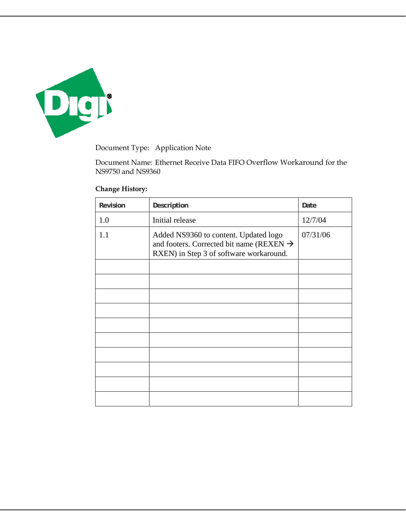

Document Type: Application Note

Document Name: Ethernet Receive Data FIFO Overflow Workaround for the NS9750 and NS9360

## **Change History:**

| Revision | Description                                                                                                                              | Date     |
|----------|------------------------------------------------------------------------------------------------------------------------------------------|----------|
| 1.0      | Initial release                                                                                                                          | 12/7/04  |
| 1.1      | Added NS9360 to content. Updated logo<br>and footers. Corrected bit name (REXEN $\rightarrow$<br>RXEN) in Step 3 of software workaround. | 07/31/06 |
|          |                                                                                                                                          |          |
|          |                                                                                                                                          |          |
|          |                                                                                                                                          |          |
|          |                                                                                                                                          |          |
|          |                                                                                                                                          |          |
|          |                                                                                                                                          |          |
|          |                                                                                                                                          |          |
|          |                                                                                                                                          |          |
|          |                                                                                                                                          |          |
|          |                                                                                                                                          |          |